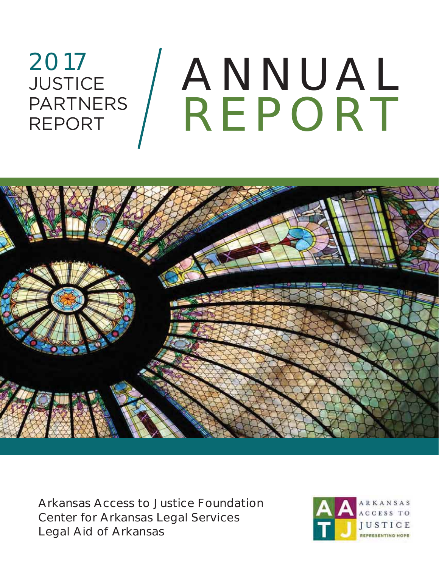# ANNUAL REPORT 2017 **JUSTICE** PARTNERS REPORT



Arkansas Access to Justice Foundation Center for Arkansas Legal Services Legal Aid of Arkansas

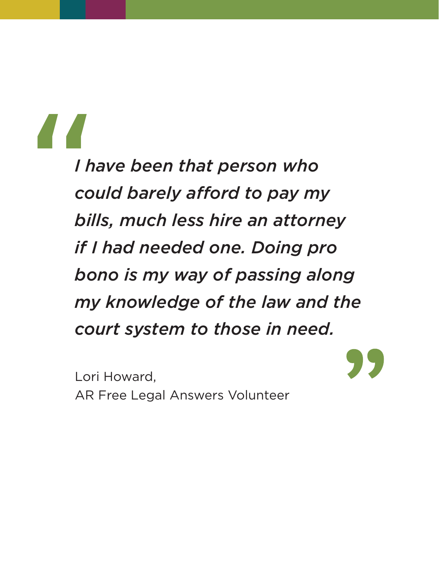# "

*I have been that person who could barely afford to pay my bills, much less hire an attorney if I had needed one. Doing pro bono is my way of passing along my knowledge of the law and the court system to those in need.*

Lori Howard, AR Free Legal Answers Volunteer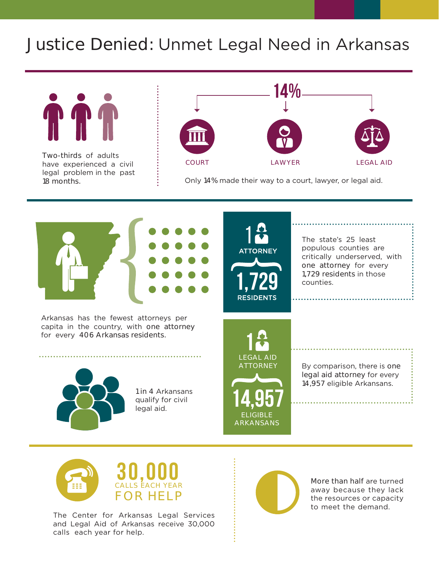# Justice Denied: Unmet Legal Need in Arkansas



Two-thirds of adults have experienced a civil legal problem in the past 18 months.



Only 14% made their way to a court, lawyer, or legal aid.



Arkansas has the fewest attorneys per capita in the country, with one attorney for every 406 Arkansas residents.



The state's 25 least populous counties are critically underserved, with one attorney for every 1,729 residents in those counties.

1 in 4 Arkansans qualify for civil legal aid.

1 LEGAL AID **ATTORNEY** 

14,957

ELIGIBLE ARKANSANS By comparison, there is one legal aid attorney for every 14,957 eligible Arkansans.



The Center for Arkansas Legal Services and Legal Aid of Arkansas receive 30,000 calls each year for help.



More than half are turned away because they lack the resources or capacity to meet the demand.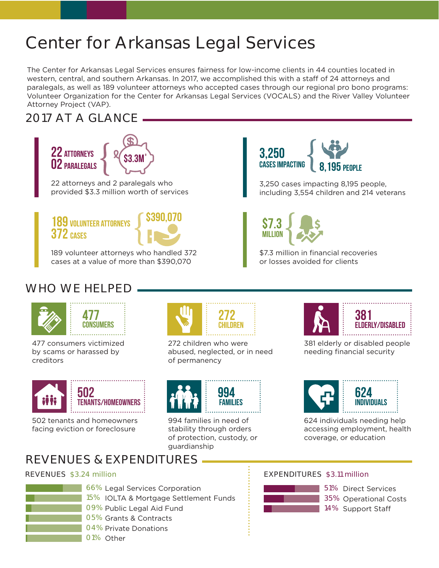# Center for Arkansas Legal Services

The Center for Arkansas Legal Services ensures fairness for low-income clients in 44 counties located in western, central, and southern Arkansas. In 2017, we accomplished this with a staff of 24 attorneys and paralegals, as well as 189 volunteer attorneys who accepted cases through our regional pro bono programs: Volunteer Organization for the Center for Arkansas Legal Services (VOCALS) and the River Valley Volunteer Attorney Project (VAP).

# 2017 AT A GLANCE





189 volunteer attorneys who handled 372 cases at a value of more than \$390,070



3,250 cases impacting 8,195 people, including 3,554 children and 214 veterans



\$7.3 million in financial recoveries or losses avoided for clients

# WHO WE HELPED.





477 consumers victimized by scams or harassed by creditors



502 tenants and homeowners facing eviction or foreclosure



272 children who were abused, neglected, or in need of permanency



994 families in need of stability through orders of protection, custody, or guardianship



381 elderly or disabled people needing financial security



624 individuals needing help accessing employment, health coverage, or education

# REVENUES & EXPENDITURES



- 66% Legal Services Corporation 15% IOLTA & Mortgage Settlement Funds 09% Public Legal Aid Fund 05% Grants & Contracts
- 04% Private Donations
- 01% Other

### REVENUES \$3.24 million EXPENDITURES \$3.11 million

### 51% Direct Services 35% Operational Costs 14% Support Staff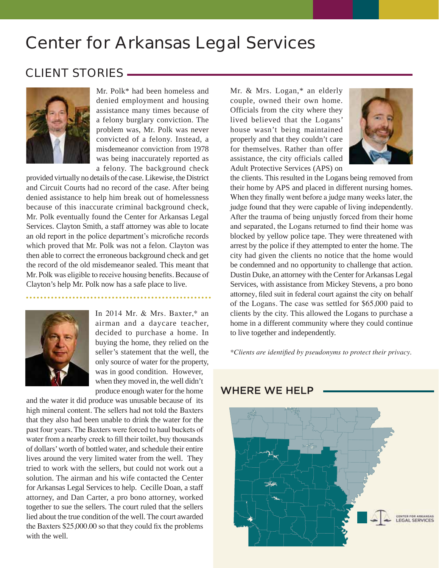# Center for Arkansas Legal Services

### CLIENT STORIES



Mr. Polk\* had been homeless and denied employment and housing assistance many times because of a felony burglary conviction. The problem was, Mr. Polk was never convicted of a felony. Instead, a misdemeanor conviction from 1978 was being inaccurately reported as a felony. The background check

provided virtually no details of the case. Likewise, the District and Circuit Courts had no record of the case. After being denied assistance to help him break out of homelessness because of this inaccurate criminal background check, Mr. Polk eventually found the Center for Arkansas Legal Services. Clayton Smith, a staff attorney was able to locate an old report in the police department's microfiche records which proved that Mr. Polk was not a felon. Clayton was then able to correct the erroneous background check and get the record of the old misdemeanor sealed. This meant that Mr. Polk was eligible to receive housing benefits. Because of Clayton's help Mr. Polk now has a safe place to live.



In 2014 Mr.  $& Mrs. Baster,*$  an airman and a daycare teacher, decided to purchase a home. In buying the home, they relied on the seller's statement that the well, the only source of water for the property, was in good condition. However, when they moved in, the well didn't produce enough water for the home

and the water it did produce was unusable because of its high mineral content. The sellers had not told the Baxters that they also had been unable to drink the water for the past four years. The Baxters were forced to haul buckets of water from a nearby creek to fill their toilet, buy thousands of dollars' worth of bottled water, and schedule their entire lives around the very limited water from the well. They tried to work with the sellers, but could not work out a solution. The airman and his wife contacted the Center for Arkansas Legal Services to help. Cecille Doan, a staff attorney, and Dan Carter, a pro bono attorney, worked together to sue the sellers. The court ruled that the sellers lied about the true condition of the well. The court awarded the Baxters  $$25,000.00$  so that they could fix the problems with the well.

Mr. & Mrs. Logan,\* an elderly couple, owned their own home. Officials from the city where they lived believed that the Logans' house wasn't being maintained properly and that they couldn't care for themselves. Rather than offer assistance, the city officials called Adult Protective Services (APS) on



the clients. This resulted in the Logans being removed from their home by APS and placed in different nursing homes. When they finally went before a judge many weeks later, the judge found that they were capable of living independently. After the trauma of being unjustly forced from their home and separated, the Logans returned to find their home was blocked by yellow police tape. They were threatened with arrest by the police if they attempted to enter the home. The city had given the clients no notice that the home would be condemned and no opportunity to challenge that action. Dustin Duke, an attorney with the Center for Arkansas Legal Services, with assistance from Mickey Stevens, a pro bono attorney, filed suit in federal court against the city on behalf of the Logans. The case was settled for \$65,000 paid to clients by the city. This allowed the Logans to purchase a home in a different community where they could continue to live together and independently.

*\*Clients are identified by pseudonyms to protect their privacy.* 



### **WHERE WE HELP**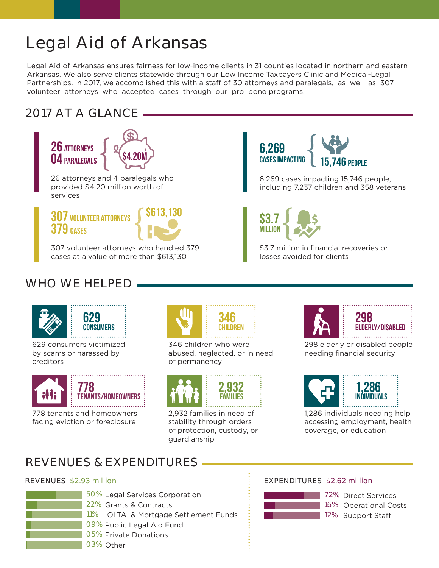# Legal Aid of Arkansas

Legal Aid of Arkansas ensures fairness for low-income clients in 31 counties located in northern and eastern Arkansas. We also serve clients statewide through our Low Income Taxpayers Clinic and Medical-Legal Partnerships. In 2017, we accomplished this with a staff of 30 attorneys and paralegals, as well as 307 volunteer attorneys who accepted cases through our pro bono programs.

### 2017 AT A GLANCE



307 volunteer attorneys who handled 379 cases at a value of more than \$613,130



6,269 cases impacting 15,746 people, including 7,237 children and 358 veterans



\$3.7 million in financial recoveries or losses avoided for clients

### WHO WE HELPED.





629 consumers victimized by scams or harassed by creditors



778 tenants and homeowners facing eviction or foreclosure



346 children who were abused, neglected, or in need of permanency



2,932 families in need of stability through orders of protection, custody, or guardianship



**298**  ELDERLY/DISABLED

298 elderly or disabled people needing financial security



**1,286**  INDIVIDUALS

1,286 individuals needing help accessing employment, health coverage, or education

# REVENUES & EXPENDITURES



50% Legal Services Corporation 22% Grants & Contracts 11% IOLTA & Mortgage Settlement Funds 09% Public Legal Aid Fund 05% Private Donations

### REVENUES \$2.93 million EXPENDITURES \$2.62 million

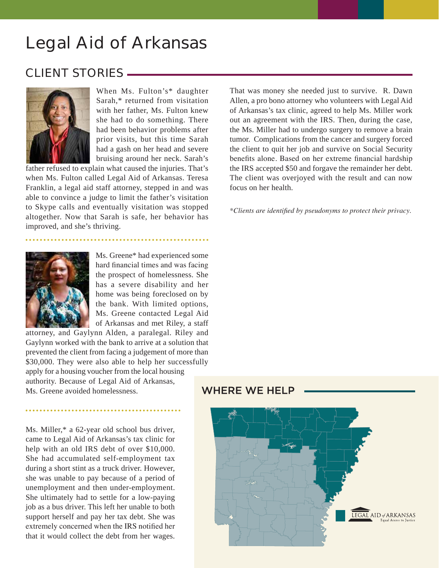# Legal Aid of Arkansas

### CLIENT STORIES



When Ms. Fulton's\* daughter Sarah,\* returned from visitation with her father, Ms. Fulton knew she had to do something. There had been behavior problems after prior visits, but this time Sarah had a gash on her head and severe bruising around her neck. Sarah's

father refused to explain what caused the injuries. That's when Ms. Fulton called Legal Aid of Arkansas. Teresa Franklin, a legal aid staff attorney, stepped in and was able to convince a judge to limit the father's visitation to Skype calls and eventually visitation was stopped altogether. Now that Sarah is safe, her behavior has improved, and she's thriving.



Ms. Greene\* had experienced some hard financial times and was facing the prospect of homelessness. She has a severe disability and her home was being foreclosed on by the bank. With limited options, Ms. Greene contacted Legal Aid of Arkansas and met Riley, a staff

attorney, and Gaylynn Alden, a paralegal. Riley and Gaylynn worked with the bank to arrive at a solution that prevented the client from facing a judgement of more than \$30,000. They were also able to help her successfully apply for a housing voucher from the local housing authority. Because of Legal Aid of Arkansas, Ms. Greene avoided homelessness.

Ms. Miller,\* a 62-year old school bus driver, came to Legal Aid of Arkansas's tax clinic for help with an old IRS debt of over \$10,000. She had accumulated self-employment tax during a short stint as a truck driver. However, she was unable to pay because of a period of unemployment and then under-employment. She ultimately had to settle for a low-paying job as a bus driver. This left her unable to both support herself and pay her tax debt. She was extremely concerned when the IRS notified her that it would collect the debt from her wages.

That was money she needed just to survive. R. Dawn Allen, a pro bono attorney who volunteers with Legal Aid of Arkansas's tax clinic, agreed to help Ms. Miller work out an agreement with the IRS. Then, during the case, the Ms. Miller had to undergo surgery to remove a brain tumor. Complications from the cancer and surgery forced the client to quit her job and survive on Social Security benefits alone. Based on her extreme financial hardship the IRS accepted \$50 and forgave the remainder her debt. The client was overjoyed with the result and can now focus on her health.

*\*Clients are identified by pseudonyms to protect their privacy.* 

### **WHERE WE HELP**

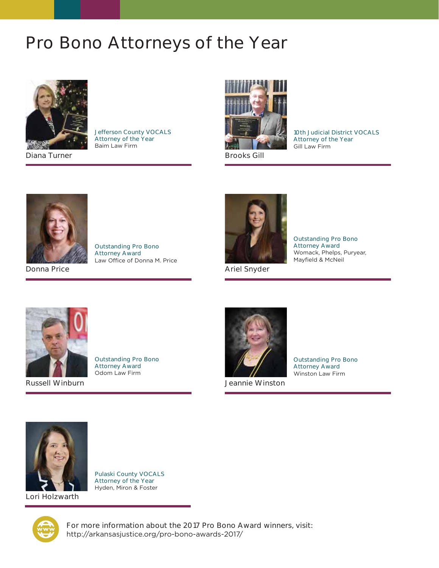# Pro Bono Attorneys of the Year



Diana Turner

Jefferson County VOCALS Attorney of the Year Baim Law Firm



Brooks Gill

10th Judicial District VOCALS Attorney of the Year Gill Law Firm



Outstanding Pro Bono Attorney Award Law Office of Donna M. Price



Ariel Snyder

Russell Winburn



Attorney Award Winston Law Firm



Pulaski County VOCALS Attorney of the Year Hyden, Miron & Foster

Outstanding Pro Bono Attorney Award Odom Law Firm



For more information about the 2017 Pro Bono Award winners, visit: http://arkansasjustice.org/pro-bono-awards-2017/

Outstanding Pro Bono

Outstanding Pro Bono Attorney Award

Womack, Phelps, Puryear, Mayfield & McNeil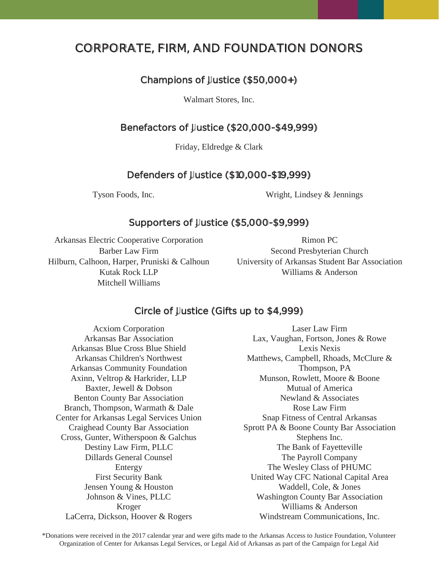### CORPORATE, FIRM, AND FOUNDATION DONORS

### Champions of Justice (\$50,000+)

Walmart Stores, Inc.

### Benefactors of Justice (\$20,000-\$49,999)

Friday, Eldredge & Clark

### Defenders of Justice (\$10,000-\$19,999)

Tyson Foods, Inc. Wright, Lindsey & Jennings

### Supporters of Justice (\$5,000-\$9,999)

Arkansas Electric Cooperative Corporation Barber Law Firm Hilburn, Calhoon, Harper, Pruniski & Calhoun Kutak Rock LLP Mitchell Williams

Rimon PC Second Presbyterian Church University of Arkansas Student Bar Association Williams & Anderson

### Circle of Justice (Gifts up to \$4,999)

Acxiom Corporation Arkansas Bar Association Arkansas Blue Cross Blue Shield Arkansas Children's Northwest Arkansas Community Foundation Axinn, Veltrop & Harkrider, LLP Baxter, Jewell & Dobson Benton County Bar Association Branch, Thompson, Warmath & Dale Center for Arkansas Legal Services Union Craighead County Bar Association Cross, Gunter, Witherspoon & Galchus Destiny Law Firm, PLLC Dillards General Counsel Entergy First Security Bank Jensen Young & Houston Johnson & Vines, PLLC Kroger LaCerra, Dickson, Hoover & Rogers

Laser Law Firm Lax, Vaughan, Fortson, Jones & Rowe Lexis Nexis Matthews, Campbell, Rhoads, McClure & Thompson, PA Munson, Rowlett, Moore & Boone Mutual of America Newland & Associates Rose Law Firm Snap Fitness of Central Arkansas Sprott PA & Boone County Bar Association Stephens Inc. The Bank of Fayetteville The Payroll Company The Wesley Class of PHUMC United Way CFC National Capital Area Waddell, Cole, & Jones Washington County Bar Association Williams & Anderson Windstream Communications, Inc.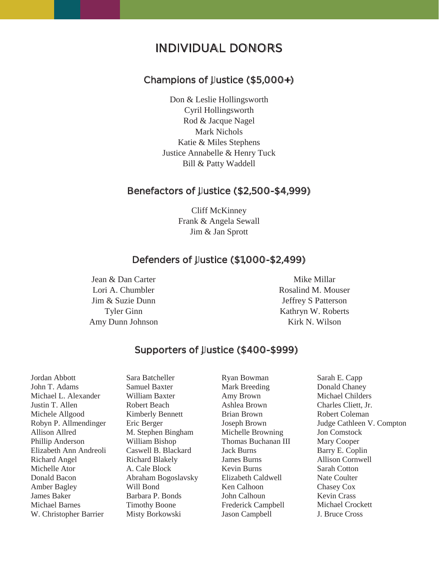### INDIVIDUAL DONORS

### Champions of Justice (\$5,000+)

Don & Leslie Hollingsworth Cyril Hollingsworth Rod & Jacque Nagel Mark Nichols Katie & Miles Stephens Justice Annabelle & Henry Tuck Bill & Patty Waddell

### Benefactors of Justice (\$2,500-\$4,999)

Cliff McKinney Frank & Angela Sewall Jim & Jan Sprott

### Defenders of Justice (\$1,000-\$2,499)

Jean & Dan Carter Lori A. Chumbler Jim & Suzie Dunn Tyler Ginn Amy Dunn Johnson

### Mike Millar Rosalind M. Mouser Jeffrey S Patterson Kathryn W. Roberts Kirk N. Wilson

### Supporters of Justice (\$400-\$999)

Jordan Abbott John T. Adams Michael L. Alexander Justin T. Allen Michele Allgood Robyn P. Allmendinger Allison Allred Phillip Anderson Elizabeth Ann Andreoli Richard Angel Michelle Ator Donald Bacon Amber Bagley James Baker Michael Barnes W. Christopher Barrier

Sara Batcheller Samuel Baxter William Baxter Robert Beach Kimberly Bennett Eric Berger M. Stephen Bingham William Bishop Caswell B. Blackard Richard Blakely A. Cale Block Abraham Bogoslavsky Will Bond Barbara P. Bonds Timothy Boone Misty Borkowski

Ryan Bowman Mark Breeding Amy Brown Ashlea Brown Brian Brown Joseph Brown Michelle Browning Thomas Buchanan III Jack Burns James Burns Kevin Burns Elizabeth Caldwell Ken Calhoon John Calhoun Frederick Campbell Jason Campbell

Sarah E. Capp Donald Chaney Michael Childers Charles Cliett, Jr. Robert Coleman Judge Cathleen V. Compton Jon Comstock Mary Cooper Barry E. Coplin Allison Cornwell Sarah Cotton Nate Coulter Chasey Cox Kevin Crass Michael Crockett J. Bruce Cross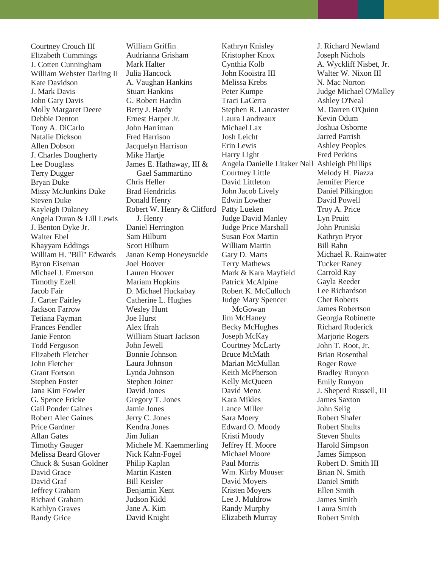Courtney Crouch III Elizabeth Cummings J. Cotten Cunningham William Webster Darling II Kate Davidson J. Mark Davis John Gary Davis Molly Margaret Deere Debbie Denton Tony A. DiCarlo Natalie Dickson Allen Dobson J. Charles Dougherty Lee Douglass Terry Dugger Bryan Duke Missy McJunkins Duke Steven Duke Kayleigh Dulaney Angela Duran & Lill Lewis J. Benton Dyke Jr. Walter Ebel Khayyam Eddings William H. "Bill" Edwards Byron Eiseman Michael J. Emerson Timothy Ezell Jacob Fair J. Carter Fairley Jackson Farrow Tetiana Fayman Frances Fendler Janie Fenton Todd Ferguson Elizabeth Fletcher John Fletcher Grant Fortson Stephen Foster Jana Kim Fowler G. Spence Fricke Gail Ponder Gaines Robert Alec Gaines Price Gardner Allan Gates Timothy Gauger Melissa Beard Glover Chuck & Susan Goldner David Grace David Graf Jeffrey Graham Richard Graham Kathlyn Graves Randy Grice

William Griffin Audrianna Grisham Mark Halter Julia Hancock A. Vaughan Hankins Stuart Hankins G. Robert Hardin Betty J. Hardy Ernest Harper Jr. John Harriman Fred Harrison Jacquelyn Harrison Mike Hartje James E. Hathaway, III & Gael Sammartino Chris Heller Brad Hendricks Donald Henry Robert W. Henry & Clifford Patty Lueken J. Henry Daniel Herrington Sam Hilburn Scott Hilburn Janan Kemp Honeysuckle Joel Hoover Lauren Hoover Mariam Hopkins D. Michael Huckabay Catherine L. Hughes Wesley Hunt Joe Hurst Alex Ifrah William Stuart Jackson John Jewell Bonnie Johnson Laura Johnson Lynda Johnson Stephen Joiner David Jones Gregory T. Jones Jamie Jones Jerry C. Jones Kendra Jones Jim Julian Michele M. Kaemmerling Nick Kahn-Fogel Philip Kaplan Martin Kasten Bill Keisler Benjamin Kent Judson Kidd Jane A. Kim David Knight

Kathryn Knisley Kristopher Knox Cynthia Kolb John Kooistra III Melissa Krebs Peter Kumpe Traci LaCerra Stephen R. Lancaster Laura Landreaux Michael Lax Josh Leicht Erin Lewis Harry Light Angela Danielle Litaker Nall Ashleigh Phillips Courtney Little David Littleton John Jacob Lively Edwin Lowther Judge David Manley Judge Price Marshall Susan Fox Martin William Martin Gary D. Marts Terry Mathews Mark & Kara Mayfield Patrick McAlpine Robert K. McCulloch Judge Mary Spencer McGowan Jim McHaney Becky McHughes Joseph McKay Courtney McLarty Bruce McMath Marian McMullan Keith McPherson Kelly McQueen David Menz Kara Mikles Lance Miller Sara Moery Edward O. Moody Kristi Moody Jeffrey H. Moore Michael Moore Paul Morris Wm. Kirby Mouser David Moyers Kristen Moyers Lee J. Muldrow Randy Murphy Elizabeth Murray

J. Richard Newland Joseph Nichols A. Wyckliff Nisbet, Jr. Walter W. Nixon III N. Mac Norton Judge Michael O'Malley Ashley O'Neal M. Darren O'Quinn Kevin Odum Joshua Osborne Jarred Parrish Ashley Peoples Fred Perkins Melody H. Piazza Jennifer Pierce Daniel Pilkington David Powell Troy A. Price Lyn Pruitt John Pruniski Kathryn Pryor Bill Rahn Michael R. Rainwater Tucker Raney Carrold Ray Gayla Reeder Lee Richardson Chet Roberts James Robertson Georgia Robinette Richard Roderick Marjorie Rogers John T. Root, Jr. Brian Rosenthal Roger Rowe Bradley Runyon Emily Runyon J. Sheperd Russell, III James Saxton John Selig Robert Shafer Robert Shults Steven Shults Harold Simpson James Simpson Robert D. Smith III Brian N. Smith Daniel Smith Ellen Smith James Smith Laura Smith Robert Smith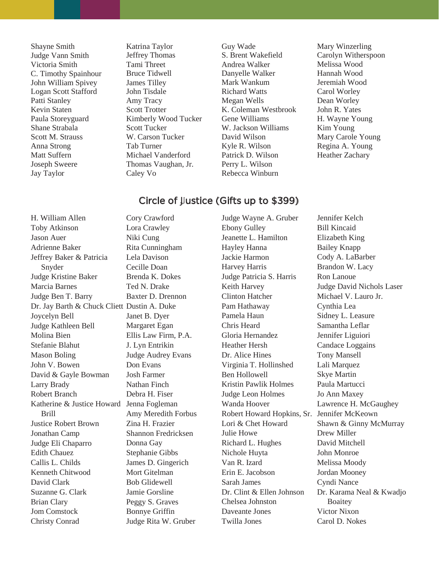Shayne Smith Judge Vann Smith Victoria Smith C. Timothy Spainhour John William Spivey Logan Scott Stafford Patti Stanley Kevin Staten Paula Storeyguard Shane Strabala Scott M. Strauss Anna Strong Matt Suffern Joseph Sweere Jay Taylor

Katrina Taylor Jeffrey Thomas Tami Threet Bruce Tidwell James Tilley John Tisdale Amy Tracy Scott Trotter Kimberly Wood Tucker Scott Tucker W. Carson Tucker Tab Turner Michael Vanderford Thomas Vaughan, Jr. Caley Vo

Guy Wade S. Brent Wakefield Andrea Walker Danyelle Walker Mark Wankum Richard Watts Megan Wells K. Coleman Westbrook Gene Williams W. Jackson Williams David Wilson Kyle R. Wilson Patrick D. Wilson Perry L. Wilson Rebecca Winburn

Mary Winzerling Carolyn Witherspoon Melissa Wood Hannah Wood Jeremiah Wood Carol Worley Dean Worley John R. Yates H. Wayne Young Kim Young Mary Carole Young Regina A. Young Heather Zachary

### Circle of Justice (Gifts up to \$399)

H. William Allen Toby Atkinson Jason Auer Adrienne Baker Jeffrey Baker & Patricia Snyder Judge Kristine Baker Marcia Barnes Judge Ben T. Barry Dr. Jay Barth & Chuck Cliett Dustin A. Duke Joycelyn Bell Judge Kathleen Bell Molina Bien Stefanie Blahut Mason Boling John V. Bowen David & Gayle Bowman Larry Brady Robert Branch Katherine & Justice Howard Jenna Fogleman Brill Justice Robert Brown Jonathan Camp Judge Eli Chaparro Edith Chauez Callis L. Childs Kenneth Chitwood David Clark Suzanne G. Clark Brian Clary Jom Comstock Christy Conrad Cory Crawford

Lora Crawley Niki Cung Rita Cunningham Lela Davison Cecille Doan Brenda K. Dokes Ted N. Drake Baxter D. Drennon Janet B. Dyer Margaret Egan Ellis Law Firm, P.A. J. Lyn Entrikin Judge Audrey Evans Don Evans Josh Farmer Nathan Finch Debra H. Fiser Amy Meredith Forbus Zina H. Frazier Shannon Fredricksen Donna Gay Stephanie Gibbs James D. Gingerich Mort Gitelman Bob Glidewell Jamie Gorsline Peggy S. Graves Bonnye Griffin Judge Rita W. Gruber

Judge Wayne A. Gruber Ebony Gulley Jeanette L. Hamilton Hayley Hanna Jackie Harmon Harvey Harris Judge Patricia S. Harris Keith Harvey Clinton Hatcher Pam Hathaway Pamela Haun Chris Heard Gloria Hernandez Heather Hersh Dr. Alice Hines Virginia T. Hollinshed Ben Hollowell Kristin Pawlik Holmes Judge Leon Holmes Wanda Hoover Robert Howard Hopkins, Sr. Jennifer McKeown Lori & Chet Howard Julie Howe Richard L. Hughes Nichole Huyta Van R. Izard Erin E. Jacobson Sarah James Dr. Clint & Ellen Johnson Chelsea Johnston Daveante Jones Twilla Jones

Jennifer Kelch Bill Kincaid Elizabeth King Bailey Knapp Cody A. LaBarber Brandon W. Lacy Ron Lanoue Judge David Nichols Laser Michael V. Lauro Jr. Cynthia Lea Sidney L. Leasure Samantha Leflar Jennifer Liguiori Candace Loggains Tony Mansell Lali Marquez Skye Martin Paula Martucci Jo Ann Maxey Lawrence H. McGaughey Shawn & Ginny McMurray Drew Miller David Mitchell John Monroe Melissa Moody Jordan Mooney Cyndi Nance Dr. Karama Neal & Kwadjo Boaitey Victor Nixon Carol D. Nokes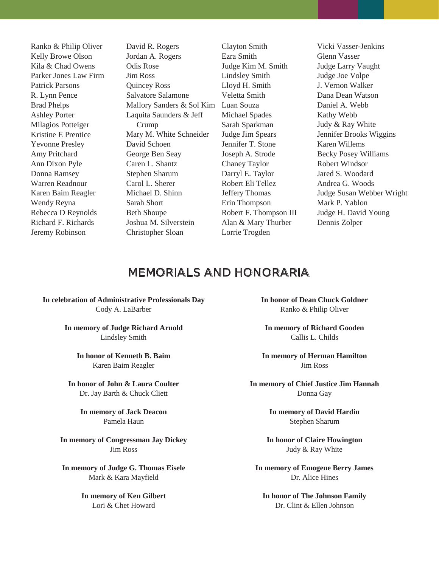Ranko & Philip Oliver Kelly Browe Olson Kila & Chad Owens Parker Jones Law Firm Patrick Parsons R. Lynn Pence Brad Phelps Ashley Porter Milagios Potteiger Kristine E Prentice Yevonne Presley Amy Pritchard Ann Dixon Pyle Donna Ramsey Warren Readnour Karen Baim Reagler Wendy Reyna Rebecca D Reynolds Richard F. Richards Jeremy Robinson

David R. Rogers Jordan A. Rogers Odis Rose Jim Ross Quincey Ross Salvatore Salamone Mallory Sanders & Sol Kim Luan Souza Laquita Saunders & Jeff Crump Mary M. White Schneider David Schoen George Ben Seay Caren L. Shantz Stephen Sharum Carol L. Sherer Michael D. Shinn Sarah Short Beth Shoupe Joshua M. Silverstein Christopher Sloan

Clayton Smith Ezra Smith Judge Kim M. Smith Lindsley Smith Lloyd H. Smith Veletta Smith Michael Spades Sarah Sparkman Judge Jim Spears Jennifer T. Stone Joseph A. Strode Chaney Taylor Darryl E. Taylor Robert Eli Tellez Jeffery Thomas Erin Thompson Robert F. Thompson III Alan & Mary Thurber Lorrie Trogden

Vicki Vasser-Jenkins Glenn Vasser Judge Larry Vaught Judge Joe Volpe J. Vernon Walker Dana Dean Watson Daniel A. Webb Kathy Webb Judy & Ray White Jennifer Brooks Wiggins Karen Willems Becky Posey Williams Robert Windsor Jared S. Woodard Andrea G. Woods Judge Susan Webber Wright Mark P. Yablon Judge H. David Young Dennis Zolper

### MEMORIALS AND HONORARIA

**In celebration of Administrative Professionals Day**  Cody A. LaBarber

> **In memory of Judge Richard Arnold**  Lindsley Smith

**In honor of Kenneth B. Baim** Karen Baim Reagler

**In honor of John & Laura Coulter**  Dr. Jay Barth & Chuck Cliett

> **In memory of Jack Deacon**  Pamela Haun

**In memory of Congressman Jay Dickey** Jim Ross

**In memory of Judge G. Thomas Eisele**  Mark & Kara Mayfield

> **In memory of Ken Gilbert**  Lori & Chet Howard

**In honor of Dean Chuck Goldner** Ranko & Philip Oliver

**In memory of Richard Gooden**  Callis L. Childs

**In memory of Herman Hamilton**  Jim Ross

**In memory of Chief Justice Jim Hannah**  Donna Gay

> **In memory of David Hardin**  Stephen Sharum

**In honor of Claire Howington**  Judy & Ray White

**In memory of Emogene Berry James**  Dr. Alice Hines

**In honor of The Johnson Family** Dr. Clint & Ellen Johnson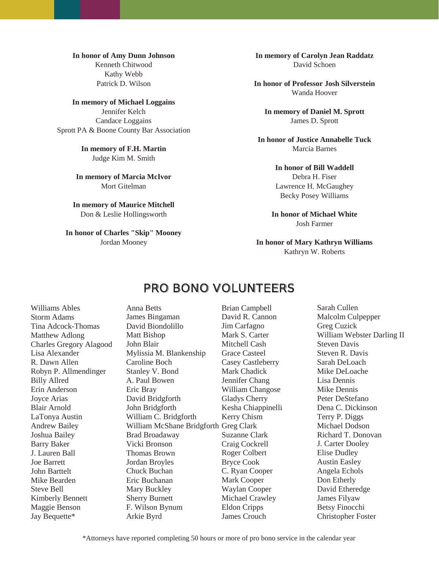**In honor of Amy Dunn Johnson**  Kenneth Chitwood Kathy Webb Patrick D. Wilson

**In memory of Michael Loggains**  Jennifer Kelch Candace Loggains Sprott PA & Boone County Bar Association

> **In memory of F.H. Martin**  Judge Kim M. Smith

**In memory of Marcia McIvor**  Mort Gitelman

**In memory of Maurice Mitchell**  Don & Leslie Hollingsworth

**In honor of Charles "Skip" Mooney**  Jordan Mooney

**In memory of Carolyn Jean Raddatz**  David Schoen

**In honor of Professor Josh Silverstein** Wanda Hoover

**In memory of Daniel M. Sprott**  James D. Sprott

**In honor of Justice Annabelle Tuck**  Marcia Barnes

### **In honor of Bill Waddell**

Debra H. Fiser Lawrence H. McGaughey Becky Posey Williams

**In honor of Michael White**  Josh Farmer

### **In honor of Mary Kathryn Williams**  Kathryn W. Roberts

### PRO BONO VOLUNTEERS

Williams Ables Storm Adams Tina Adcock-Thomas Matthew Adlong Charles Gregory Alagood Lisa Alexander R. Dawn Allen Robyn P. Allmendinger Billy Allred Erin Anderson Joyce Arias Blair Arnold LaTonya Austin Andrew Bailey Joshua Bailey Barry Baker J. Lauren Ball Joe Barrett John Barttelt Mike Bearden Steve Bell Kimberly Bennett Maggie Benson Jay Bequette\*

Anna Betts James Bingaman David Biondolillo Matt Bishop John Blair Mylissia M. Blankenship Caroline Boch Stanley V. Bond A. Paul Bowen Eric Bray David Bridgforth John Bridgforth William C. Bridgforth William McShane Bridgforth Greg Clark Brad Broadaway Vicki Bronson Thomas Brown Jordan Broyles Chuck Buchan Eric Buchanan Mary Buckley Sherry Burnett F. Wilson Bynum Arkie Byrd

Brian Campbell David R. Cannon Jim Carfagno Mark S. Carter Mitchell Cash Grace Casteel Casey Castleberry Mark Chadick Jennifer Chang William Changose Gladys Cherry Kesha Chiappinelli Kerry Chism Suzanne Clark Craig Cockrell Roger Colbert Bryce Cook C. Ryan Cooper Mark Cooper Waylan Cooper Michael Crawley Eldon Cripps James Crouch

Sarah Cullen Malcolm Culpepper Greg Cuzick William Webster Darling II Steven Davis Steven R. Davis Sarah DeLoach Mike DeLoache Lisa Dennis Mike Dennis Peter DeStefano Dena C. Dickinson Terry P. Diggs Michael Dodson Richard T. Donovan J. Carter Dooley Elise Dudley Austin Easley Angela Echols Don Etherly David Etheredge James Filyaw Betsy Finocchi Christopher Foster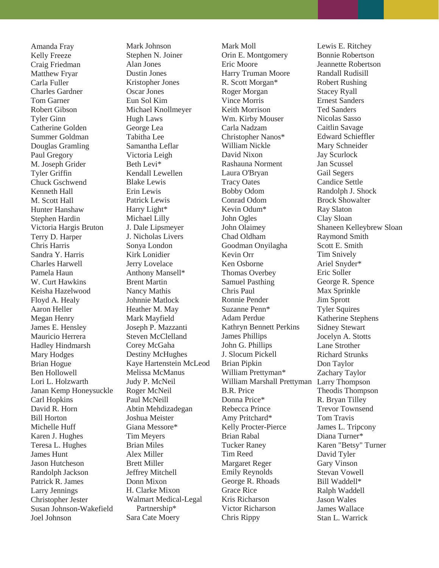Amanda Fray Kelly Freeze Craig Friedman Matthew Fryar Carla Fuller Charles Gardner Tom Garner Robert Gibson Tyler Ginn Catherine Golden Summer Goldman Douglas Gramling Paul Gregory M. Joseph Grider Tyler Griffin Chuck Gschwend Kenneth Hall M. Scott Hall Hunter Hanshaw Stephen Hardin Victoria Hargis Bruton Terry D. Harper Chris Harris Sandra Y. Harris Charles Harwell Pamela Haun W. Curt Hawkins Keisha Hazelwood Floyd A. Healy Aaron Heller Megan Henry James E. Hensley Mauricio Herrera Hadley Hindmarsh Mary Hodges Brian Hogue Ben Hollowell Lori L. Holzwarth Janan Kemp Honeysuckle Carl Hopkins David R. Horn Bill Horton Michelle Huff Karen J. Hughes Teresa L. Hughes James Hunt Jason Hutcheson Randolph Jackson Patrick R. James Larry Jennings Christopher Jester Susan Johnson-Wakefield Joel Johnson

Mark Johnson Stephen N. Joiner Alan Jones Dustin Jones Kristopher Jones Oscar Jones Eun Sol Kim Michael Knollmeyer Hugh Laws George Lea Tabitha Lee Samantha Leflar Victoria Leigh Beth Levi\* Kendall Lewellen Blake Lewis Erin Lewis Patrick Lewis Harry Light\* Michael Lilly J. Dale Lipsmeyer J. Nicholas Livers Sonya London Kirk Lonidier Jerry Lovelace Anthony Mansell\* Brent Martin Nancy Mathis Johnnie Matlock Heather M. May Mark Mayfield Joseph P. Mazzanti Steven McClelland Corey McGaha Destiny McHughes Kaye Hartenstein McLeod Melissa McManus Judy P. McNeil Roger McNeil Paul McNeill Abtin Mehdizadegan Joshua Meister Giana Messore\* Tim Meyers Brian Miles Alex Miller Brett Miller Jeffrey Mitchell Donn Mixon H. Clarke Mixon Walmart Medical-Legal Partnership\* Sara Cate Moery

Mark Moll Orin E. Montgomery Eric Moore Harry Truman Moore R. Scott Morgan\* Roger Morgan Vince Morris Keith Morrison Wm. Kirby Mouser Carla Nadzam Christopher Nanos\* William Nickle David Nixon Rashauna Norment Laura O'Bryan Tracy Oates Bobby Odom Conrad Odom Kevin Odum\* John Ogles John Olaimey Chad Oldham Goodman Onyilagha Kevin Orr Ken Osborne Thomas Overbey Samuel Pasthing Chris Paul Ronnie Pender Suzanne Penn\* Adam Perdue Kathryn Bennett Perkins James Phillips John G. Phillips J. Slocum Pickell Brian Pipkin William Prettyman\* William Marshall Prettyman Larry Thompson B.R. Price Donna Price\* Rebecca Prince Amy Pritchard\* Kelly Procter-Pierce Brian Rabal Tucker Raney Tim Reed Margaret Reger Emily Reynolds George R. Rhoads Grace Rice Kris Richarson Victor Richarson Chris Rippy

Lewis E. Ritchey Bonnie Robertson Jeannette Robertson Randall Rudisill Robert Rushing Stacey Ryall Ernest Sanders Ted Sanders Nicolas Sasso Caitlin Savage Edward Schieffler Mary Schneider Jay Scurlock Jan Scussel Gail Segers Candice Settle Randolph J. Shock Brock Showalter Ray Slaton Clay Sloan Shaneen Kelleybrew Sloan Raymond Smith Scott E. Smith Tim Snively Ariel Snyder\* Eric Soller George R. Spence Max Sprinkle Jim Sprott Tyler Squires Katherine Stephens Sidney Stewart Jocelyn A. Stotts Lane Strother Richard Strunks Don Taylor Zachary Taylor Theodis Thompson R. Bryan Tilley Trevor Townsend Tom Travis James L. Tripcony Diana Turner\* Karen "Betsy" Turner David Tyler Gary Vinson Stevan Vowell Bill Waddell\* Ralph Waddell Jason Wales James Wallace Stan L. Warrick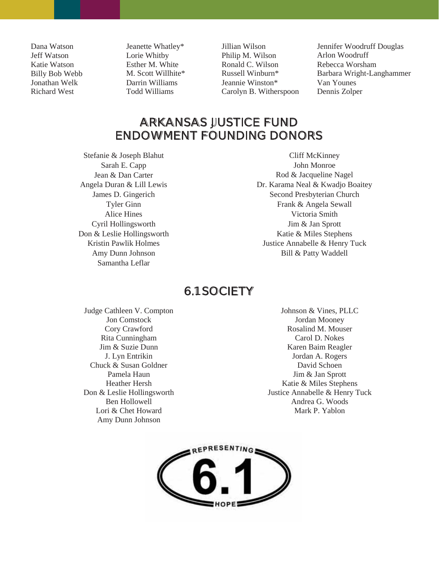Dana Watson Jeff Watson Katie Watson Billy Bob Webb Jonathan Welk Richard West

Jeanette Whatley\* Lorie Whitby Esther M. White M. Scott Willhite\* Darrin Williams Todd Williams

Jillian Wilson Philip M. Wilson Ronald C. Wilson Russell Winburn\* Jeannie Winston\* Carolyn B. Witherspoon Jennifer Woodruff Douglas Arlon Woodruff Rebecca Worsham Barbara Wright-Langhammer Van Younes Dennis Zolper

### ARKANSAS JUSTICE FUND ENDOWMENT FOUNDING DONORS

Stefanie & Joseph Blahut Sarah E. Capp Jean & Dan Carter Angela Duran & Lill Lewis James D. Gingerich Tyler Ginn Alice Hines Cyril Hollingsworth Don & Leslie Hollingsworth Kristin Pawlik Holmes Amy Dunn Johnson Samantha Leflar

Cliff McKinney John Monroe Rod & Jacqueline Nagel Dr. Karama Neal & Kwadjo Boaitey Second Presbyterian Church Frank & Angela Sewall Victoria Smith Jim & Jan Sprott Katie & Miles Stephens Justice Annabelle & Henry Tuck Bill & Patty Waddell

### 6.1 SOCIETY

Judge Cathleen V. Compton Jon Comstock Cory Crawford Rita Cunningham Jim & Suzie Dunn J. Lyn Entrikin Chuck & Susan Goldner Pamela Haun Heather Hersh Don & Leslie Hollingsworth Ben Hollowell Lori & Chet Howard Amy Dunn Johnson

Johnson & Vines, PLLC Jordan Mooney Rosalind M. Mouser Carol D. Nokes Karen Baim Reagler Jordan A. Rogers David Schoen Jim & Jan Sprott Katie & Miles Stephens Justice Annabelle & Henry Tuck Andrea G. Woods Mark P. Yablon

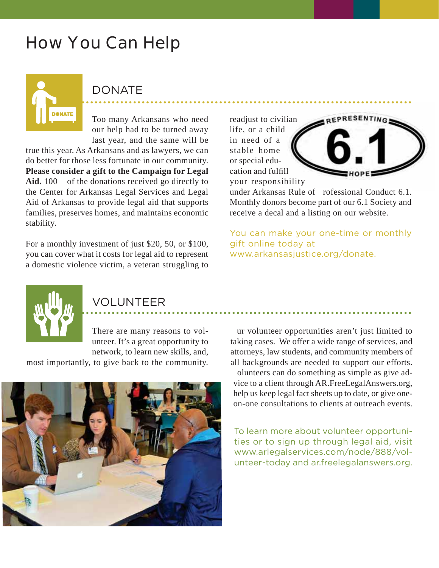# How You Can Help

DONATE

Too many Arkansans who need our help had to be turned away last year, and the same will be

true this year. As Arkansans and as lawyers, we can do better for those less fortunate in our community. **Please consider a gift to the Campaign for Legal Aid.** 100 of the donations received go directly to the Center for Arkansas Legal Services and Legal Aid of Arkansas to provide legal aid that supports families, preserves homes, and maintains economic stability.

For a monthly investment of just \$20, 50, or \$100, you can cover what it costs for legal aid to represent a domestic violence victim, a veteran struggling to





your responsibility<br>under Arkansas Rule of rofessional Conduct 6.1. Monthly donors become part of our 6.1 Society and receive a decal and a listing on our website.

You can make your one-time or monthly gift online today at www.arkansasjustice.org/donate.



### VOLUNTEER

There are many reasons to volunteer. It's a great opportunity to network, to learn new skills, and,

most importantly, to give back to the community.



ur volunteer opportunities aren't just limited to taking cases. We offer a wide range of services, and attorneys, law students, and community members of all backgrounds are needed to support our efforts. olunteers can do something as simple as give ad-

vice to a client through AR.FreeLegalAnswers.org, help us keep legal fact sheets up to date, or give oneon-one consultations to clients at outreach events.

To learn more about volunteer opportunities or to sign up through legal aid, visit www.arlegalservices.com/node/888/volunteer-today and ar.freelegalanswers.org.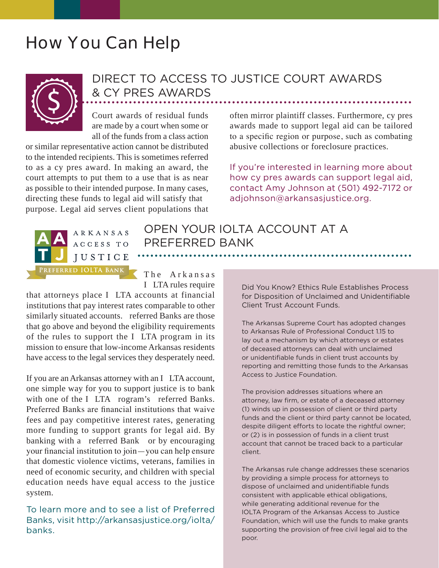# How You Can Help



## DIRECT TO ACCESS TO JUSTICE COURT AWARDS & CY PRES AWARDS

Court awards of residual funds are made by a court when some or all of the funds from a class action

or similar representative action cannot be distributed to the intended recipients. This is sometimes referred to as a cy pres award. In making an award, the court attempts to put them to a use that is as near as possible to their intended purpose. In many cases, directing these funds to legal aid will satisfy that purpose. Legal aid serves client populations that

often mirror plaintiff classes. Furthermore, cy pres awards made to support legal aid can be tailored to a specific region or purpose, such as combating abusive collections or foreclosure practices.

If you're interested in learning more about how cy pres awards can support legal aid, contact Amy Johnson at (501) 492-7172 or adjohnson@arkansasjustice.org.



PREFERRED BANK

OPEN YOUR IOLTA ACCOUNT AT A

The Arkansas I LTA rules require

that attorneys place I LTA accounts at financial institutions that pay interest rates comparable to other similarly situated accounts. referred Banks are those that go above and beyond the eligibility requirements of the rules to support the I LTA program in its mission to ensure that low-income Arkansas residents have access to the legal services they desperately need.

If you are an Arkansas attorney with an I LTA account, one simple way for you to support justice is to bank with one of the I LTA rogram's referred Banks. Preferred Banks are financial institutions that waive fees and pay competitive interest rates, generating more funding to support grants for legal aid. By banking with a referred Bank or by encouraging your financial institution to join — you can help ensure that domestic violence victims, veterans, families in need of economic security, and children with special education needs have equal access to the justice system.

To learn more and to see a list of Preferred Banks, visit http://arkansasjustice.org/iolta/ banks.

Did You Know? Ethics Rule Establishes Process for Disposition of Unclaimed and Unidentifiable Client Trust Account Funds.

The Arkansas Supreme Court has adopted changes to Arkansas Rule of Professional Conduct 1.15 to lay out a mechanism by which attorneys or estates of deceased attorneys can deal with unclaimed or unidentifiable funds in client trust accounts by reporting and remitting those funds to the Arkansas Access to Justice Foundation.

The provision addresses situations where an attorney, law firm, or estate of a deceased attorney (1) winds up in possession of client or third party funds and the client or third party cannot be located, despite diligent efforts to locate the rightful owner; or (2) is in possession of funds in a client trust account that cannot be traced back to a particular client.

The Arkansas rule change addresses these scenarios by providing a simple process for attorneys to dispose of unclaimed and unidentifiable funds consistent with applicable ethical obligations, while generating additional revenue for the IOLTA Program of the Arkansas Access to Justice Foundation, which will use the funds to make grants supporting the provision of free civil legal aid to the poor.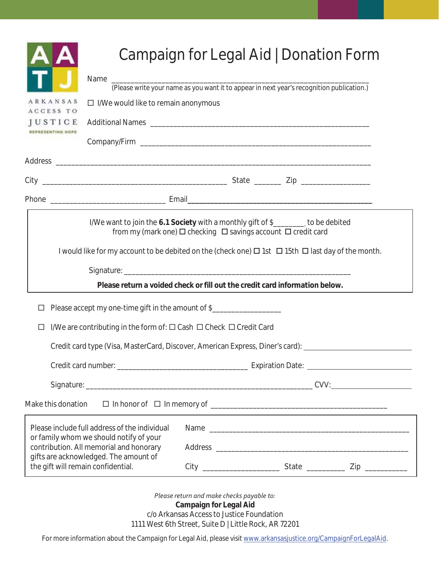|                                                                                             | Campaign for Legal Aid   Donation Form                                                                                                                    |
|---------------------------------------------------------------------------------------------|-----------------------------------------------------------------------------------------------------------------------------------------------------------|
| Name                                                                                        | (Please write your name as you want it to appear in next year's recognition publication.)                                                                 |
| ARKANSAS<br>$\Box$ I/We would like to remain anonymous                                      |                                                                                                                                                           |
| ACCESS TO<br>JUSTICE                                                                        |                                                                                                                                                           |
|                                                                                             |                                                                                                                                                           |
|                                                                                             |                                                                                                                                                           |
|                                                                                             |                                                                                                                                                           |
|                                                                                             |                                                                                                                                                           |
|                                                                                             | I/We want to join the 6.1 Society with a monthly gift of \$________ to be debited<br>from my (mark one) <b>□</b> checking □ savings account □ credit card |
|                                                                                             | I would like for my account to be debited on the (check one) $\Box$ 1st $\Box$ 15th $\Box$ last day of the month.                                         |
|                                                                                             |                                                                                                                                                           |
|                                                                                             | Please return a voided check or fill out the credit card information below.                                                                               |
| Please accept my one-time gift in the amount of \$_______________________________<br>$\Box$ |                                                                                                                                                           |
| I/We are contributing in the form of: □ Cash □ Check □ Credit Card<br>□                     |                                                                                                                                                           |
|                                                                                             | Credit card type (Visa, MasterCard, Discover, American Express, Diner's card):                                                                            |
|                                                                                             |                                                                                                                                                           |
|                                                                                             |                                                                                                                                                           |
| Make this donation                                                                          |                                                                                                                                                           |
| Please include full address of the individual<br>or family whom we should notify of your    |                                                                                                                                                           |
| contribution. All memorial and honorary                                                     |                                                                                                                                                           |
| gifts are acknowledged. The amount of<br>the gift will remain confidential.                 |                                                                                                                                                           |
|                                                                                             | Please return and make checks payable to:                                                                                                                 |

**Campaign for Legal Aid** 

c/o Arkansas Access to Justice Foundation

1111 West 6th Street, Suite D | Little Rock, AR 72201

For more information about the Campaign for Legal Aid, please visit www.arkansasjustice.org/CampaignForLegalAid.